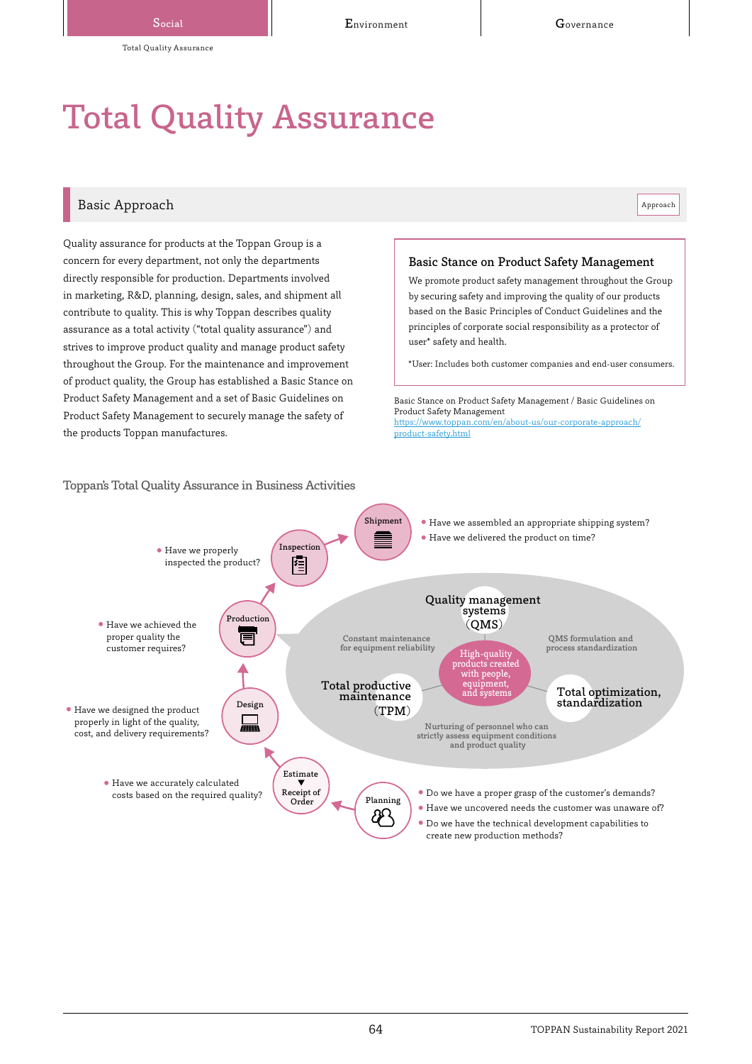# Total Quality Assurance

## Basic Approach and the contract of the contract of the contract of the contract of the contract of the contract of the contract of the contract of the contract of the contract of the contract of the contract of the contrac

Quality assurance for products at the Toppan Group is a concern for every department, not only the departments directly responsible for production. Departments involved in marketing, R&D, planning, design, sales, and shipment all contribute to quality. This is why Toppan describes quality assurance as a total activity ("total quality assurance") and strives to improve product quality and manage product safety throughout the Group. For the maintenance and improvement of product quality, the Group has established a Basic Stance on Product Safety Management and a set of Basic Guidelines on Product Safety Management to securely manage the safety of the products Toppan manufactures.

## Toppan's Total Quality Assurance in Business Activities

## Basic Stance on Product Safety Management

We promote product safety management throughout the Group by securing safety and improving the quality of our products based on the Basic Principles of Conduct Guidelines and the principles of corporate social responsibility as a protector of user\* safety and health.

\*User: Includes both customer companies and end-user consumers.

Basic Stance on Product Safety Management / Basic Guidelines on Product Safety Management [https://www.toppan.com/en/about-us/our-corporate-approach/](https://www.toppan.com/en/about-us/our-corporate-approach/product-safety.html) product-safety.html